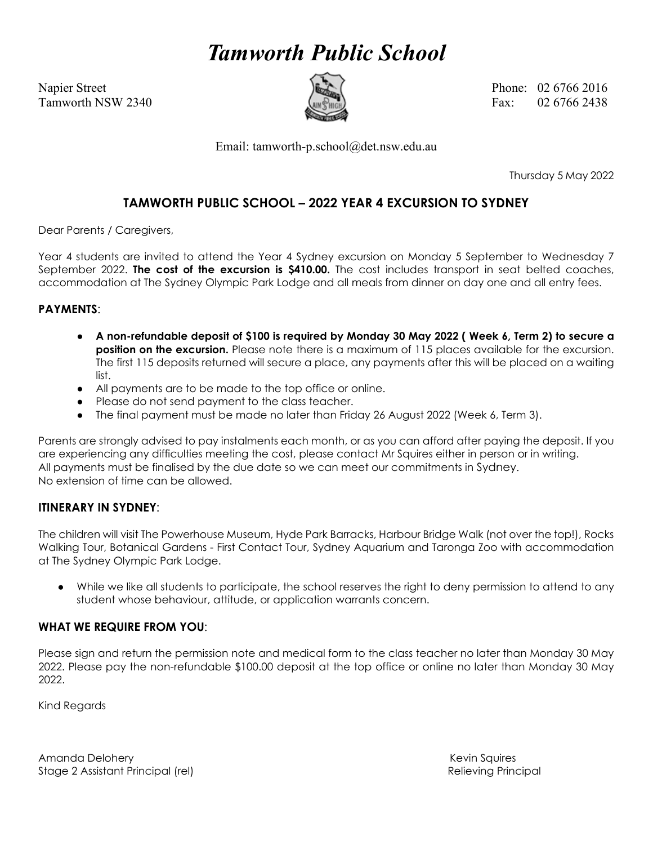# *Tamworth Public School*



Napier Street Phone: 02 6766 2016 Tamworth NSW 2340  $\left(\frac{m}{m}\right)$  Fax: 02.6766.2438

Email: tamworth-p.school@det.nsw.edu.au

Thursday 5 May 2022

### **TAMWORTH PUBLIC SCHOOL – 2022 YEAR 4 EXCURSION TO SYDNEY**

Dear Parents / Caregivers,

Year 4 students are invited to attend the Year 4 Sydney excursion on Monday 5 September to Wednesday 7 September 2022. **The cost of the excursion is \$410.00.** The cost includes transport in seat belted coaches, accommodation at The Sydney Olympic Park Lodge and all meals from dinner on day one and all entry fees.

#### **PAYMENTS**:

- **A non-refundable deposit of \$100 is required by Monday 30 May 2022 ( Week 6, Term 2) to secure a position on the excursion.** Please note there is a maximum of 115 places available for the excursion. The first 115 deposits returned will secure a place, any payments after this will be placed on a waiting list.
- All payments are to be made to the top office or online.
- Please do not send payment to the class teacher.
- The final payment must be made no later than Friday 26 August 2022 (Week 6, Term 3).

Parents are strongly advised to pay instalments each month, or as you can afford after paying the deposit. If you are experiencing any difficulties meeting the cost, please contact Mr Squires either in person or in writing. All payments must be finalised by the due date so we can meet our commitments in Sydney. No extension of time can be allowed.

#### **ITINERARY IN SYDNEY**:

The children will visit The Powerhouse Museum, Hyde Park Barracks, Harbour Bridge Walk (not over the top!), Rocks Walking Tour, Botanical Gardens - First Contact Tour, Sydney Aquarium and Taronga Zoo with accommodation at The Sydney Olympic Park Lodge.

● While we like all students to participate, the school reserves the right to deny permission to attend to any student whose behaviour, attitude, or application warrants concern.

#### **WHAT WE REQUIRE FROM YOU**:

Please sign and return the permission note and medical form to the class teacher no later than Monday 30 May 2022. Please pay the non-refundable \$100.00 deposit at the top office or online no later than Monday 30 May 2022.

Kind Regards

Amanda Delohery **Keyin Squires** Amanda Delohery Kevin Squires Amanda Delohery Kevin Squires Stage 2 Assistant Principal (rel) and the control of the control of the Relieving Principal (rel)